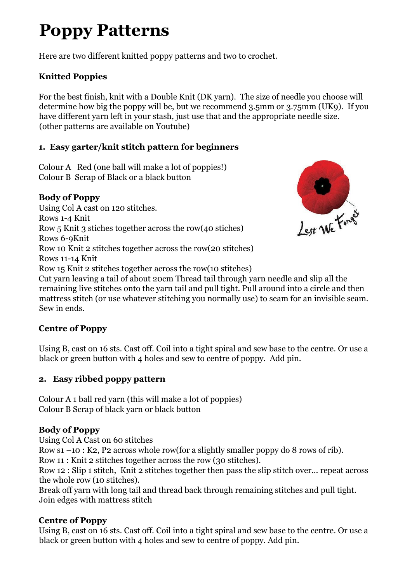# **Poppy Patterns**

Here are two different knitted poppy patterns and two to crochet.

## **Knitted Poppies**

For the best finish, knit with a Double Knit (DK yarn). The size of needle you choose will determine how big the poppy will be, but we recommend 3.5mm or 3.75mm (UK9). If you have different yarn left in your stash, just use that and the appropriate needle size. (other patterns are available on Youtube)

### **1. Easy garter/knit stitch pattern for beginners**

Colour A Red (one ball will make a lot of poppies!) Colour B Scrap of Black or a black button

### **Body of Poppy**

Using Col A cast on 120 stitches. Rows 1-4 Knit Row 5 Knit 3 stiches together across the row(40 stiches) Rows 6-9Knit Row 10 Knit 2 stitches together across the row(20 stitches) Rows 11-14 Knit Row 15 Knit 2 stitches together across the row(10 stitches) Cut yarn leaving a tail of about 20cm Thread tail through yarn needle and slip all the remaining live stitches onto the yarn tail and pull tight. Pull around into a circle and then mattress stitch (or use whatever stitching you normally use) to seam for an invisible seam.

Sew in ends.

### **Centre of Poppy**

Using B, cast on 16 sts. Cast off. Coil into a tight spiral and sew base to the centre. Or use a black or green button with 4 holes and sew to centre of poppy. Add pin.

### **2. Easy ribbed poppy pattern**

Colour A 1 ball red yarn (this will make a lot of poppies) Colour B Scrap of black yarn or black button

### **Body of Poppy**

Using Col A Cast on 60 stitches

Row s1 –10 : K2, P2 across whole row(for a slightly smaller poppy do 8 rows of rib).

Row 11 : Knit 2 stitches together across the row (30 stitches).

Row 12 : Slip 1 stitch, Knit 2 stitches together then pass the slip stitch over... repeat across the whole row (10 stitches).

Break off yarn with long tail and thread back through remaining stitches and pull tight. Join edges with mattress stitch

### **Centre of Poppy**

Using B, cast on 16 sts. Cast off. Coil into a tight spiral and sew base to the centre. Or use a black or green button with 4 holes and sew to centre of poppy. Add pin.